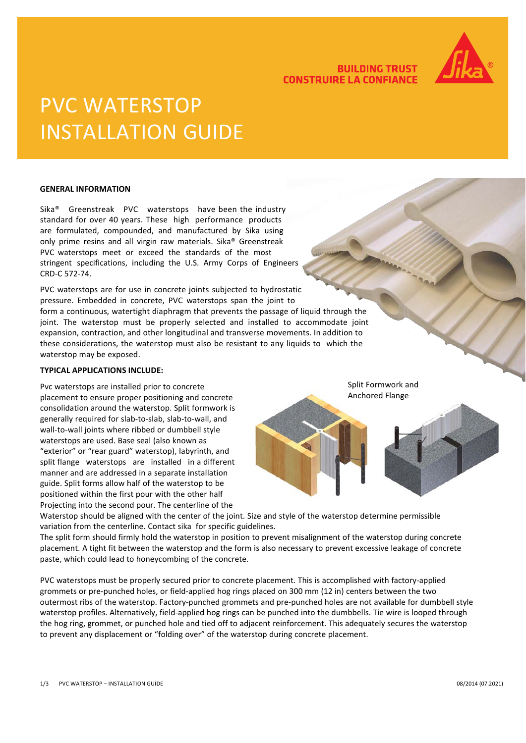

## **BUILDING TRUST CONSTRUIRE LA CONFIANCE**

# PVC WATERSTOP INSTALLATION GUIDE

#### **GENERAL INFORMATION**

Sika® Greenstreak PVC waterstops have been the industry standard for over 40 years. These high performance products are formulated, compounded, and manufactured by Sika using only prime resins and all virgin raw materials. Sika® Greenstreak PVC waterstops meet or exceed the standards of the most stringent specifications, including the U.S. Army Corps of Engineers CRD-C 572-74.

PVC waterstops are for use in concrete joints subjected to hydrostatic pressure. Embedded in concrete, PVC waterstops span the joint to form a continuous, watertight diaphragm that prevents the passage of liquid through the joint. The waterstop must be properly selected and installed to accommodate joint expansion, contraction, and other longitudinal and transverse movements. In addition to these considerations, the waterstop must also be resistant to any liquids to which the waterstop may be exposed.

#### **TYPICAL APPLICATIONS INCLUDE:**

Pvc waterstops are installed prior to concrete placement to ensure proper positioning and concrete consolidation around the waterstop. Split formwork is generally required for slab-to-slab, slab-to-wall, and wall-to-wall joints where ribbed or dumbbell style waterstops are used. Base seal (also known as "exterior" or "rear guard" waterstop), labyrinth, and split flange waterstops are installed in a different manner and are addressed in a separate installation guide. Split forms allow half of the waterstop to be positioned within the first pour with the other half Projecting into the second pour. The centerline of the

Split Formwork and Anchored Flange

Waterstop should be aligned with the center of the joint. Size and style of the waterstop determine permissible variation from the centerline. Contact sika for specific guidelines.

The split form should firmly hold the waterstop in position to prevent misalignment of the waterstop during concrete placement. A tight fit between the waterstop and the form is also necessary to prevent excessive leakage of concrete paste, which could lead to honeycombing of the concrete.

PVC waterstops must be properly secured prior to concrete placement. This is accomplished with factory-applied grommets or pre-punched holes, or field-applied hog rings placed on 300 mm (12 in) centers between the two outermost ribs of the waterstop. Factory-punched grommets and pre-punched holes are not available for dumbbell style waterstop profiles. Alternatively, field-applied hog rings can be punched into the dumbbells. Tie wire is looped through the hog ring, grommet, or punched hole and tied off to adjacent reinforcement. This adequately secures the waterstop to prevent any displacement or "folding over" of the waterstop during concrete placement.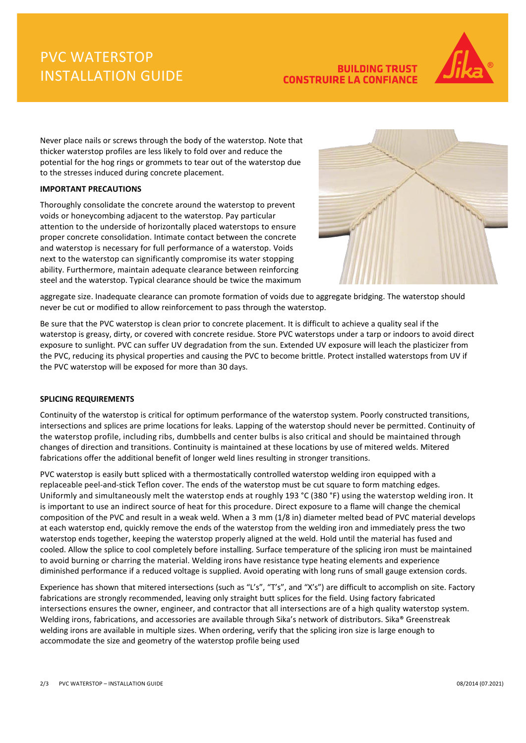# PVC WATERSTOP INSTALLATION GUIDE

## **BUILDING TRUST CONSTRUIRE LA CONFIANCE**



Never place nails or screws through the body of the waterstop. Note that thicker waterstop profiles are less likely to fold over and reduce the potential for the hog rings or grommets to tear out of the waterstop due to the stresses induced during concrete placement.

### **IMPORTANT PRECAUTIONS**

Thoroughly consolidate the concrete around the waterstop to prevent voids or honeycombing adjacent to the waterstop. Pay particular attention to the underside of horizontally placed waterstops to ensure proper concrete consolidation. Intimate contact between the concrete and waterstop is necessary for full performance of a waterstop. Voids next to the waterstop can significantly compromise its water stopping ability. Furthermore, maintain adequate clearance between reinforcing steel and the waterstop. Typical clearance should be twice the maximum



aggregate size. Inadequate clearance can promote formation of voids due to aggregate bridging. The waterstop should never be cut or modified to allow reinforcement to pass through the waterstop.

Be sure that the PVC waterstop is clean prior to concrete placement. It is difficult to achieve a quality seal if the waterstop is greasy, dirty, or covered with concrete residue. Store PVC waterstops under a tarp or indoors to avoid direct exposure to sunlight. PVC can suffer UV degradation from the sun. Extended UV exposure will leach the plasticizer from the PVC, reducing its physical properties and causing the PVC to become brittle. Protect installed waterstops from UV if the PVC waterstop will be exposed for more than 30 days.

### **SPLICING REQUIREMENTS**

Continuity of the waterstop is critical for optimum performance of the waterstop system. Poorly constructed transitions, intersections and splices are prime locations for leaks. Lapping of the waterstop should never be permitted. Continuity of the waterstop profile, including ribs, dumbbells and center bulbs is also critical and should be maintained through changes of direction and transitions. Continuity is maintained at these locations by use of mitered welds. Mitered fabrications offer the additional benefit of longer weld lines resulting in stronger transitions.

PVC waterstop is easily butt spliced with a thermostatically controlled waterstop welding iron equipped with a replaceable peel-and-stick Teflon cover. The ends of the waterstop must be cut square to form matching edges. Uniformly and simultaneously melt the waterstop ends at roughly 193 °C (380 °F) using the waterstop welding iron. It is important to use an indirect source of heat for this procedure. Direct exposure to a flame will change the chemical composition of the PVC and result in a weak weld. When a 3 mm (1/8 in) diameter melted bead of PVC material develops at each waterstop end, quickly remove the ends of the waterstop from the welding iron and immediately press the two waterstop ends together, keeping the waterstop properly aligned at the weld. Hold until the material has fused and cooled. Allow the splice to cool completely before installing. Surface temperature of the splicing iron must be maintained to avoid burning or charring the material. Welding irons have resistance type heating elements and experience diminished performance if a reduced voltage is supplied. Avoid operating with long runs of small gauge extension cords.

Experience has shown that mitered intersections (such as "L's", "T's", and "X's") are difficult to accomplish on site. Factory fabrications are strongly recommended, leaving only straight butt splices for the field. Using factory fabricated intersections ensures the owner, engineer, and contractor that all intersections are of a high quality waterstop system. Welding irons, fabrications, and accessories are available through Sika's network of distributors. Sika® Greenstreak welding irons are available in multiple sizes. When ordering, verify that the splicing iron size is large enough to accommodate the size and geometry of the waterstop profile being used